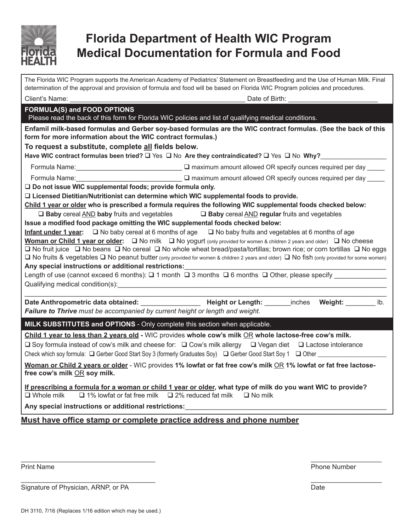

# **Florida Department of Health WIC Program Medical Documentation for Formula and Food**

| The Florida WIC Program supports the American Academy of Pediatrics' Statement on Breastfeeding and the Use of Human Milk. Final<br>determination of the approval and provision of formula and food will be based on Florida WIC Program policies and procedures.                                  |                                                                                                        |  |
|----------------------------------------------------------------------------------------------------------------------------------------------------------------------------------------------------------------------------------------------------------------------------------------------------|--------------------------------------------------------------------------------------------------------|--|
| Client's Name: ____                                                                                                                                                                                                                                                                                | Date of Birth: National Date of Birth:                                                                 |  |
| <b>FORMULA(S) and FOOD OPTIONS</b><br>Please read the back of this form for Florida WIC policies and list of qualifying medical conditions.                                                                                                                                                        |                                                                                                        |  |
| Enfamil milk-based formulas and Gerber soy-based formulas are the WIC contract formulas. (See the back of this<br>form for more information about the WIC contract formulas.)                                                                                                                      |                                                                                                        |  |
| To request a substitute, complete all fields below.<br>Have WIC contract formulas been tried? $\square$ Yes $\square$ No Are they contraindicated? $\square$ Yes $\square$ No Why?                                                                                                                 |                                                                                                        |  |
|                                                                                                                                                                                                                                                                                                    |                                                                                                        |  |
|                                                                                                                                                                                                                                                                                                    |                                                                                                        |  |
|                                                                                                                                                                                                                                                                                                    |                                                                                                        |  |
| □ Do not issue WIC supplemental foods; provide formula only.<br>$\Box$ Licensed Dietitian/Nutritionist can determine which WIC supplemental foods to provide.                                                                                                                                      |                                                                                                        |  |
| Child 1 year or older who is prescribed a formula requires the following WIC supplemental foods checked below:                                                                                                                                                                                     |                                                                                                        |  |
|                                                                                                                                                                                                                                                                                                    | $\Box$ Baby cereal AND baby fruits and vegetables $\Box$ Baby cereal AND regular fruits and vegetables |  |
| Issue a modified food package omitting the WIC supplemental foods checked below:                                                                                                                                                                                                                   |                                                                                                        |  |
| Infant under 1 year: $\square$ No baby cereal at 6 months of age $\square$ No baby fruits and vegetables at 6 months of age                                                                                                                                                                        |                                                                                                        |  |
| <b>Woman or Child 1 year or older:</b> $\Box$ No milk $\Box$ No yogurt (only provided for women & children 2 years and older) $\Box$ No cheese<br>$\Box$ No fruit juice $\Box$ No beans $\Box$ No cereal $\Box$ No whole wheat bread/pasta/tortillas; brown rice; or corn tortillas $\Box$ No eggs |                                                                                                        |  |
| $\Box$ No fruits & vegetables $\Box$ No peanut butter (only provided for women & children 2 years and older) $\Box$ No fish (only provided for some women)                                                                                                                                         |                                                                                                        |  |
| Any special instructions or additional restrictions:                                                                                                                                                                                                                                               |                                                                                                        |  |
| Length of use (cannot exceed 6 months): $\square$ 1 month $\square$ 3 months $\square$ 6 months $\square$ Other, please specify ___________                                                                                                                                                        |                                                                                                        |  |
|                                                                                                                                                                                                                                                                                                    |                                                                                                        |  |
|                                                                                                                                                                                                                                                                                                    | Date Anthropometric data obtained: The South Height or Length: The Meight: Inches Weight: Ib.          |  |
| Failure to Thrive must be accompanied by current height or length and weight.                                                                                                                                                                                                                      |                                                                                                        |  |
| <b>MILK SUBSTITUTES and OPTIONS</b> - Only complete this section when applicable.                                                                                                                                                                                                                  |                                                                                                        |  |
| Child 1 year to less than 2 years old - WIC provides whole cow's milk OR whole lactose-free cow's milk.                                                                                                                                                                                            |                                                                                                        |  |
| $\Box$ Soy formula instead of cow's milk and cheese for: $\Box$ Cow's milk allergy $\Box$ Vegan diet $\Box$ Lactose intolerance                                                                                                                                                                    |                                                                                                        |  |
| Check which soy formula: □ Gerber Good Start Soy 3 (formerly Graduates Soy) □ Gerber Good Start Soy 1 □ Other _________________________                                                                                                                                                            |                                                                                                        |  |
| Woman or Child 2 years or older - WIC provides 1% lowfat or fat free cow's milk OR 1% lowfat or fat free lactose-<br>free cow's milk OR soy milk.                                                                                                                                                  |                                                                                                        |  |
| If prescribing a formula for a woman or child 1 year or older, what type of milk do you want WIC to provide?<br>$\Box$ Whole milk $\Box$ 1% lowfat or fat free milk $\Box$ 2% reduced fat milk $\Box$ No milk                                                                                      |                                                                                                        |  |
| Any special instructions or additional restrictions:                                                                                                                                                                                                                                               |                                                                                                        |  |
| Must have office stamp or complete practice address and phone number                                                                                                                                                                                                                               |                                                                                                        |  |

\_\_\_\_\_\_\_\_\_\_\_\_\_\_\_\_\_\_\_\_\_\_\_\_\_\_\_\_\_\_\_\_\_\_\_\_ \_\_\_\_\_\_\_\_\_\_\_\_\_\_\_\_\_\_\_

Print Name Phone Number

Signature of Physician, ARNP, or PA Date

\_\_\_\_\_\_\_\_\_\_\_\_\_\_\_\_\_\_\_\_\_\_\_\_\_\_\_\_\_\_\_\_\_\_\_\_ \_\_\_\_\_\_\_\_\_\_\_\_\_\_\_\_\_\_\_